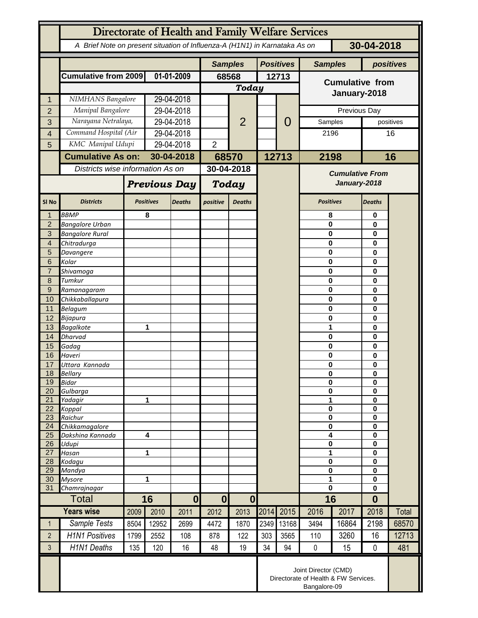| Directorate of Health and Family Welfare Services |                                                                            |                                  |                     |                |                |                  |       |                |                                                                              |              |                  |             |  |
|---------------------------------------------------|----------------------------------------------------------------------------|----------------------------------|---------------------|----------------|----------------|------------------|-------|----------------|------------------------------------------------------------------------------|--------------|------------------|-------------|--|
|                                                   | A Brief Note on present situation of Influenza-A (H1N1) in Karnataka As on |                                  |                     |                |                |                  |       |                |                                                                              |              | 30-04-2018       |             |  |
|                                                   |                                                                            |                                  |                     | <b>Samples</b> |                | <b>Positives</b> |       | <b>Samples</b> |                                                                              | positives    |                  |             |  |
|                                                   | Cumulative from 2009                                                       |                                  | 01-01-2009          |                | 68568          |                  | 12713 |                | <b>Cumulative from</b>                                                       |              |                  |             |  |
|                                                   |                                                                            |                                  |                     |                | <b>Today</b>   |                  |       |                |                                                                              |              |                  |             |  |
| 1                                                 | NIMHANS Bangalore                                                          |                                  | 29-04-2018          |                |                |                  |       |                | January-2018                                                                 |              |                  |             |  |
| $\overline{2}$                                    | Manipal Bangalore                                                          |                                  | 29-04-2018          |                |                |                  |       |                |                                                                              | Previous Day |                  |             |  |
| 3                                                 |                                                                            | Narayana Netralaya,              |                     | 29-04-2018     |                | $\overline{2}$   |       | 0              | Samples                                                                      |              |                  | positives   |  |
| 4                                                 | Command Hospital (Air                                                      |                                  |                     | 29-04-2018     |                |                  |       |                | 2196                                                                         |              | 16               |             |  |
| 5                                                 |                                                                            | KMC Manipal Udupi                |                     | 29-04-2018     |                |                  |       |                |                                                                              |              |                  |             |  |
|                                                   | <b>Cumulative As on:</b>                                                   |                                  |                     | 30-04-2018     |                | 68570            |       | 12713          | 2198                                                                         |              | 16               |             |  |
|                                                   |                                                                            | Districts wise information As on |                     |                | 30-04-2018     |                  |       |                | <b>Cumulative From</b>                                                       |              |                  |             |  |
|                                                   |                                                                            |                                  | <b>Previous Day</b> |                | Today          |                  |       |                | January-2018                                                                 |              |                  |             |  |
| SI <sub>No</sub>                                  | <b>Districts</b>                                                           |                                  | <b>Positives</b>    | <b>Deaths</b>  | positive       | <b>Deaths</b>    |       |                | <b>Positives</b>                                                             |              | <b>Deaths</b>    |             |  |
| $\mathbf{1}$                                      | <b>BBMP</b>                                                                |                                  | 8                   |                |                |                  |       |                | 8                                                                            |              | 0                |             |  |
| $\overline{2}$<br>$\overline{3}$                  | <b>Bangalore Urban</b><br><b>Bangalore Rural</b>                           |                                  |                     |                |                |                  |       |                | 0<br>0                                                                       |              |                  | 0<br>0<br>0 |  |
| $\overline{4}$                                    | Chitradurga                                                                |                                  |                     |                |                |                  |       |                | 0                                                                            |              |                  |             |  |
| 5                                                 | Davangere                                                                  |                                  |                     |                |                |                  |       |                | 0                                                                            |              | 0                |             |  |
| 6                                                 | Kolar                                                                      |                                  |                     |                |                |                  |       |                | 0                                                                            |              | 0                |             |  |
| $\overline{7}$<br>8                               | Shivamoga<br>Tumkur                                                        |                                  |                     |                |                |                  |       |                | 0<br>0                                                                       |              | 0<br>0           |             |  |
| $\overline{9}$                                    | Ramanagaram                                                                |                                  |                     |                |                |                  |       |                | 0                                                                            |              | 0                |             |  |
| 10                                                | Chikkaballapura                                                            |                                  |                     |                |                |                  |       |                | $\bf{0}$                                                                     |              | 0                |             |  |
| 11                                                | Belagum                                                                    |                                  |                     |                |                |                  |       |                | 0                                                                            |              | 0                |             |  |
| 12                                                | Bijapura                                                                   |                                  |                     |                |                |                  |       |                | 0                                                                            |              | 0                |             |  |
| 13                                                | <b>Bagalkote</b><br><b>Dharvad</b>                                         |                                  |                     | 1              |                |                  |       |                | 1                                                                            |              | 0                |             |  |
| 14<br>15                                          | Gadag                                                                      |                                  |                     |                |                |                  |       |                | 0<br>0                                                                       |              | 0<br>0           |             |  |
| 16                                                | Haveri                                                                     |                                  |                     |                |                |                  |       |                |                                                                              | 0            |                  | $\bf{0}$    |  |
| 17                                                | Uttara Kannada                                                             |                                  |                     |                |                |                  |       |                | 0                                                                            |              | $\mathbf 0$      |             |  |
| 18                                                | Bellary                                                                    |                                  |                     |                |                |                  |       |                | 0                                                                            |              | 0                |             |  |
| 19<br>20                                          | <b>Bidar</b><br>Gulbarga                                                   |                                  |                     |                |                |                  |       |                | $\mathbf 0$<br>0                                                             |              | $\mathbf 0$<br>0 |             |  |
| 21                                                | Yadagir                                                                    |                                  | 1                   |                |                |                  |       |                | 1                                                                            |              | $\mathbf 0$      |             |  |
| 22                                                | Koppal                                                                     |                                  |                     |                |                |                  |       |                | $\pmb{0}$                                                                    |              | $\mathbf 0$      |             |  |
| 23                                                | Raichur                                                                    |                                  |                     |                |                |                  |       |                | 0                                                                            |              | 0                |             |  |
| 24<br>25                                          | Chikkamagalore<br>Dakshina Kannada                                         | 4                                |                     |                |                |                  |       |                | 0<br>4                                                                       |              | 0<br>$\mathbf 0$ |             |  |
| 26                                                | Udupi                                                                      |                                  |                     |                |                |                  |       |                | 0                                                                            |              | $\mathbf 0$      |             |  |
| 27                                                | Hasan                                                                      | 1                                |                     |                |                |                  |       |                | 1                                                                            |              | $\mathbf 0$      |             |  |
| 28<br>29                                          | Kodagu                                                                     |                                  |                     |                |                |                  |       |                | 0<br>0                                                                       |              | 0                |             |  |
| 30                                                | Mandya<br><b>Mysore</b>                                                    | 1                                |                     |                |                |                  |       |                | 1                                                                            |              | 0<br>$\mathbf 0$ |             |  |
| 31                                                | Chamrajnagar                                                               |                                  |                     |                |                |                  |       |                | $\mathbf 0$                                                                  |              | 0                |             |  |
|                                                   | <b>Total</b>                                                               |                                  | 16                  |                | 0 <br>$\bf{0}$ |                  |       |                | 16                                                                           |              | $\bf{0}$         |             |  |
|                                                   | <b>Years wise</b>                                                          | 2009                             | 2010                | 2011           | 2012           | 2013             | 2014  | 2015           | 2016                                                                         | 2017         | 2018             | Total       |  |
| $\mathbf{1}$                                      | Sample Tests                                                               | 8504                             | 12952               | 2699           | 4472           | 1870             | 2349  | 13168          | 3494                                                                         | 16864        | 2198             | 68570       |  |
| $\overline{2}$                                    | <b>H1N1 Positives</b>                                                      | 1799                             | 2552                | 108            | 878            | 122              | 303   | 3565           | 110                                                                          | 3260         | 16               | 12713       |  |
| 3                                                 | <b>H1N1 Deaths</b>                                                         | 135                              | 120                 | 16             | 48             | 19               | 34    | 94             | $\mathbf 0$                                                                  | 15           | $\mathbf 0$      | 481         |  |
|                                                   |                                                                            |                                  |                     |                |                |                  |       |                | Joint Director (CMD)<br>Directorate of Health & FW Services.<br>Bangalore-09 |              |                  |             |  |